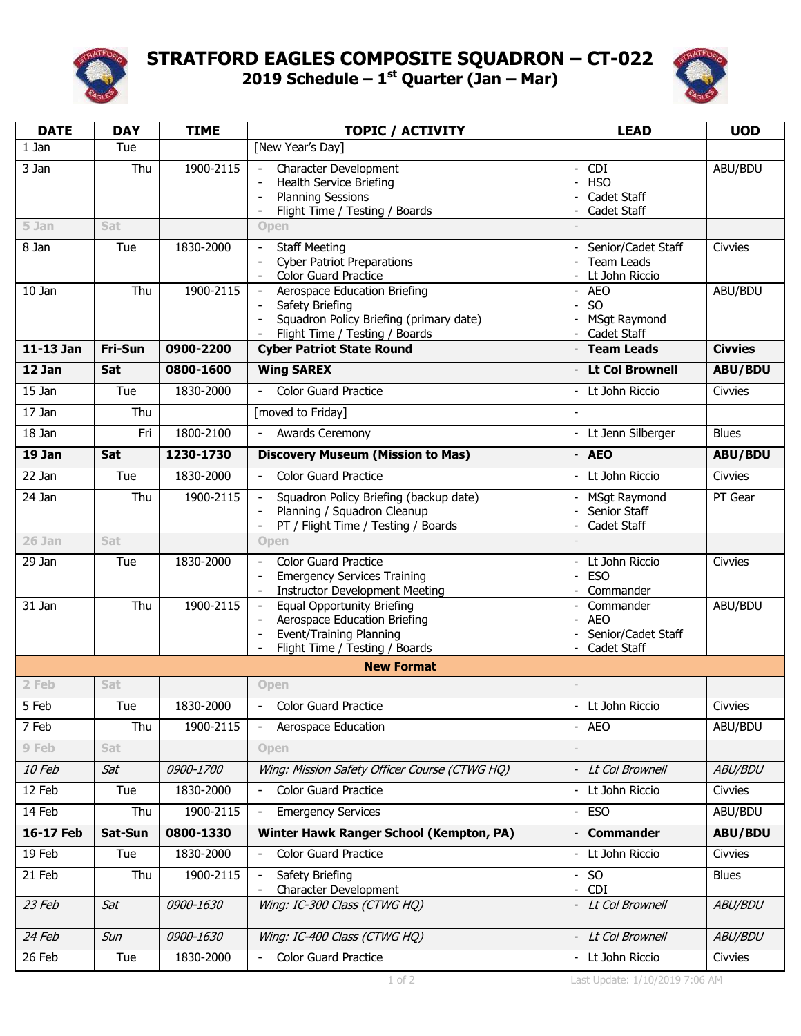

## **STRATFORD EAGLES COMPOSITE SQUADRON – CT-022 2019 Schedule – 1 st Quarter (Jan – Mar)**



| <b>DATE</b>       | <b>DAY</b> | <b>TIME</b> | <b>TOPIC / ACTIVITY</b>                                                               | <b>LEAD</b>                                             | <b>UOD</b>     |  |  |  |  |
|-------------------|------------|-------------|---------------------------------------------------------------------------------------|---------------------------------------------------------|----------------|--|--|--|--|
| 1 Jan             | Tue        |             | [New Year's Day]                                                                      |                                                         |                |  |  |  |  |
| 3 Jan             | Thu        | 1900-2115   | Character Development                                                                 | - CDI                                                   | ABU/BDU        |  |  |  |  |
|                   |            |             | Health Service Briefing<br><b>Planning Sessions</b>                                   | <b>HSO</b><br>Cadet Staff                               |                |  |  |  |  |
|                   |            |             | Flight Time / Testing / Boards                                                        | Cadet Staff                                             |                |  |  |  |  |
| 5 Jan             | Sat        |             | Open                                                                                  |                                                         |                |  |  |  |  |
| 8 Jan             | Tue        | 1830-2000   | <b>Staff Meeting</b>                                                                  | - Senior/Cadet Staff                                    | <b>Civvies</b> |  |  |  |  |
|                   |            |             | <b>Cyber Patriot Preparations</b><br><b>Color Guard Practice</b>                      | <b>Team Leads</b><br>Lt John Riccio                     |                |  |  |  |  |
| 10 Jan            | Thu        | 1900-2115   | Aerospace Education Briefing<br>$\overline{\phantom{a}}$                              | - AEO                                                   | ABU/BDU        |  |  |  |  |
|                   |            |             | Safety Briefing<br>Squadron Policy Briefing (primary date)                            | S <sub>O</sub><br>$\blacksquare$<br><b>MSgt Raymond</b> |                |  |  |  |  |
|                   |            |             | Flight Time / Testing / Boards                                                        | Cadet Staff                                             |                |  |  |  |  |
| 11-13 Jan         | Fri-Sun    | 0900-2200   | <b>Cyber Patriot State Round</b>                                                      | - Team Leads                                            | <b>Civvies</b> |  |  |  |  |
| 12 Jan            | Sat        | 0800-1600   | <b>Wing SAREX</b>                                                                     | - Lt Col Brownell                                       | <b>ABU/BDU</b> |  |  |  |  |
| 15 Jan            | Tue        | 1830-2000   | <b>Color Guard Practice</b>                                                           | Lt John Riccio<br>$\sim$                                | Civvies        |  |  |  |  |
| 17 Jan            | Thu        |             | [moved to Friday]                                                                     | $\overline{a}$                                          |                |  |  |  |  |
| 18 Jan            | Fri        | 1800-2100   | Awards Ceremony                                                                       | - Lt Jenn Silberger                                     | <b>Blues</b>   |  |  |  |  |
| 19 Jan            | Sat        | 1230-1730   | <b>Discovery Museum (Mission to Mas)</b>                                              | - AEO                                                   | <b>ABU/BDU</b> |  |  |  |  |
| 22 Jan            | Tue        | 1830-2000   | <b>Color Guard Practice</b><br>$\overline{\phantom{a}}$                               | - Lt John Riccio                                        | Civvies        |  |  |  |  |
| 24 Jan            | Thu        | 1900-2115   | Squadron Policy Briefing (backup date)<br>$\overline{\phantom{a}}$                    | - MSqt Raymond                                          | PT Gear        |  |  |  |  |
|                   |            |             | Planning / Squadron Cleanup<br>PT / Flight Time / Testing / Boards                    | Senior Staff<br>Cadet Staff                             |                |  |  |  |  |
| 26 Jan            | Sat        |             | <b>Open</b>                                                                           |                                                         |                |  |  |  |  |
| 29 Jan            | Tue        | 1830-2000   | <b>Color Guard Practice</b>                                                           | Lt John Riccio                                          | <b>Civvies</b> |  |  |  |  |
|                   |            |             | <b>Emergency Services Training</b>                                                    | <b>ESO</b>                                              |                |  |  |  |  |
| 31 Jan            | Thu        | 1900-2115   | <b>Instructor Development Meeting</b><br><b>Equal Opportunity Briefing</b>            | Commander<br>Commander                                  | ABU/BDU        |  |  |  |  |
|                   |            |             | Aerospace Education Briefing                                                          | <b>AEO</b>                                              |                |  |  |  |  |
|                   |            |             | Event/Training Planning<br>$\overline{\phantom{a}}$<br>Flight Time / Testing / Boards | Senior/Cadet Staff<br>- Cadet Staff                     |                |  |  |  |  |
| <b>New Format</b> |            |             |                                                                                       |                                                         |                |  |  |  |  |
| 2 Feb             | Sat        |             | <b>Open</b>                                                                           |                                                         |                |  |  |  |  |
| 5 Feb             | Tue        | 1830-2000   | <b>Color Guard Practice</b>                                                           | - Lt John Riccio                                        | Civvies        |  |  |  |  |
| 7 Feb             | Thu        | 1900-2115   | Aerospace Education                                                                   | - AEO                                                   | ABU/BDU        |  |  |  |  |
| 9 Feb             | <b>Sat</b> |             | Open                                                                                  |                                                         |                |  |  |  |  |
| 10 Feb            | Sat        | 0900-1700   | Wing: Mission Safety Officer Course (CTWG HQ)                                         | - Lt Col Brownell                                       | ABU/BDU        |  |  |  |  |
| 12 Feb            | Tue        | 1830-2000   | <b>Color Guard Practice</b>                                                           | - Lt John Riccio                                        | Civvies        |  |  |  |  |
| 14 Feb            | Thu        | 1900-2115   | <b>Emergency Services</b><br>$\overline{\phantom{a}}$                                 | - ESO                                                   | ABU/BDU        |  |  |  |  |
| 16-17 Feb         | Sat-Sun    | 0800-1330   | Winter Hawk Ranger School (Kempton, PA)                                               | - Commander                                             | <b>ABU/BDU</b> |  |  |  |  |
| 19 Feb            | Tue        | 1830-2000   | <b>Color Guard Practice</b>                                                           | Lt John Riccio                                          | Civvies        |  |  |  |  |
| 21 Feb            | Thu        | 1900-2115   | Safety Briefing<br>Character Development                                              | $-$ SO<br><b>CDI</b>                                    | <b>Blues</b>   |  |  |  |  |
| 23 Feb            | Sat        | 0900-1630   | Wing: IC-300 Class (CTWG HQ)                                                          | - Lt Col Brownell                                       | ABU/BDU        |  |  |  |  |
|                   |            |             |                                                                                       |                                                         |                |  |  |  |  |
| 24 Feb            | Sun        | 0900-1630   | Wing: IC-400 Class (CTWG HQ)                                                          | - Lt Col Brownell                                       | ABU/BDU        |  |  |  |  |
| 26 Feb            | Tue        | 1830-2000   | <b>Color Guard Practice</b>                                                           | - Lt John Riccio                                        | Civvies        |  |  |  |  |